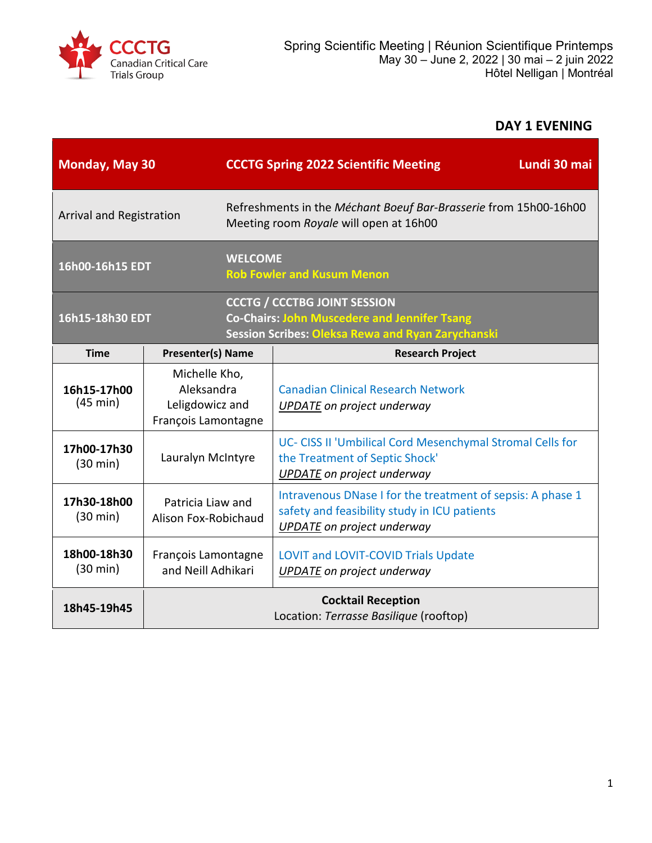

# **DAY 1 EVENING**

| <b>Monday, May 30</b>             |                                                                       |                                                                                                            | Lundi 30 mai<br><b>CCCTG Spring 2022 Scientific Meeting</b>                                                                                            |  |
|-----------------------------------|-----------------------------------------------------------------------|------------------------------------------------------------------------------------------------------------|--------------------------------------------------------------------------------------------------------------------------------------------------------|--|
| Arrival and Registration          |                                                                       | Refreshments in the Méchant Boeuf Bar-Brasserie from 15h00-16h00<br>Meeting room Royale will open at 16h00 |                                                                                                                                                        |  |
| 16h00-16h15 EDT                   |                                                                       | <b>WELCOME</b><br><b>Rob Fowler and Kusum Menon</b>                                                        |                                                                                                                                                        |  |
| 16h15-18h30 EDT                   |                                                                       |                                                                                                            | <b>CCCTG / CCCTBG JOINT SESSION</b><br><b>Co-Chairs: John Muscedere and Jennifer Tsang</b><br><b>Session Scribes: Oleksa Rewa and Ryan Zarychanski</b> |  |
| <b>Time</b>                       | <b>Presenter(s) Name</b>                                              |                                                                                                            | <b>Research Project</b>                                                                                                                                |  |
| 16h15-17h00<br>(45 min)           | Michelle Kho,<br>Aleksandra<br>Leligdowicz and<br>François Lamontagne |                                                                                                            | <b>Canadian Clinical Research Network</b><br>UPDATE on project underway                                                                                |  |
| 17h00-17h30<br>$(30 \text{ min})$ | Lauralyn McIntyre                                                     |                                                                                                            | UC- CISS II 'Umbilical Cord Mesenchymal Stromal Cells for<br>the Treatment of Septic Shock'<br><b>UPDATE</b> on project underway                       |  |
| 17h30-18h00<br>$(30 \text{ min})$ | Patricia Liaw and<br>Alison Fox-Robichaud                             |                                                                                                            | Intravenous DNase I for the treatment of sepsis: A phase 1<br>safety and feasibility study in ICU patients<br><b>UPDATE</b> on project underway        |  |
| 18h00-18h30<br>$(30 \text{ min})$ | François Lamontagne<br>and Neill Adhikari                             |                                                                                                            | <b>LOVIT and LOVIT-COVID Trials Update</b><br><b>UPDATE</b> on project underway                                                                        |  |
| 18h45-19h45                       | <b>Cocktail Reception</b><br>Location: Terrasse Basilique (rooftop)   |                                                                                                            |                                                                                                                                                        |  |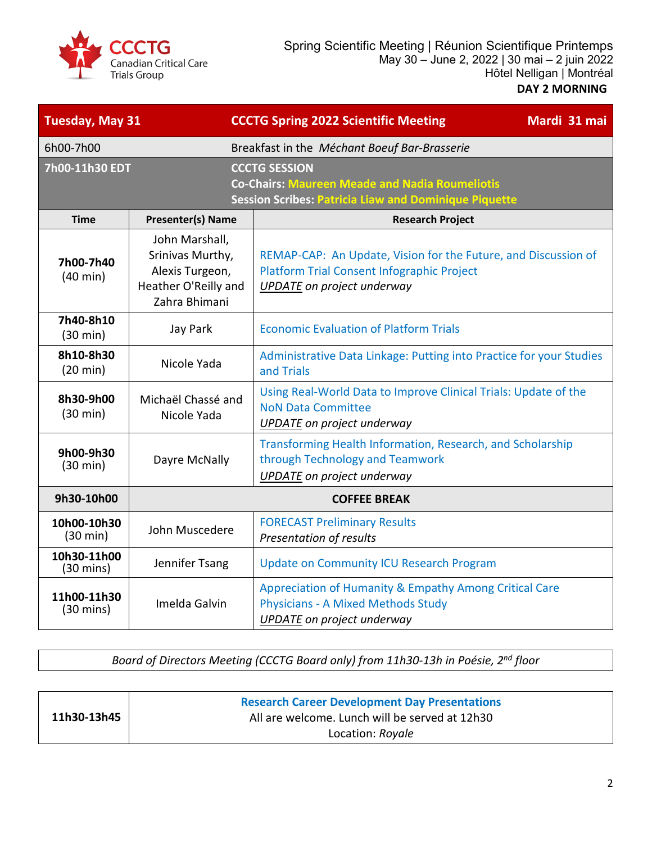

| <b>Tuesday, May 31</b>                                                                                                                                          |                                                                                                | Mardi 31 mai<br><b>CCCTG Spring 2022 Scientific Meeting</b>                                                                                       |  |
|-----------------------------------------------------------------------------------------------------------------------------------------------------------------|------------------------------------------------------------------------------------------------|---------------------------------------------------------------------------------------------------------------------------------------------------|--|
| 6h00-7h00                                                                                                                                                       | Breakfast in the Méchant Boeuf Bar-Brasserie                                                   |                                                                                                                                                   |  |
| 7h00-11h30 EDT<br><b>CCCTG SESSION</b><br><b>Co-Chairs: Maureen Meade and Nadia Roumeliotis</b><br><b>Session Scribes: Patricia Liaw and Dominique Piquette</b> |                                                                                                |                                                                                                                                                   |  |
| <b>Time</b>                                                                                                                                                     | <b>Presenter(s) Name</b>                                                                       | <b>Research Project</b>                                                                                                                           |  |
| 7h00-7h40<br>$(40 \text{ min})$                                                                                                                                 | John Marshall,<br>Srinivas Murthy,<br>Alexis Turgeon,<br>Heather O'Reilly and<br>Zahra Bhimani | REMAP-CAP: An Update, Vision for the Future, and Discussion of<br>Platform Trial Consent Infographic Project<br><b>UPDATE</b> on project underway |  |
| 7h40-8h10<br>(30 min)                                                                                                                                           | Jay Park                                                                                       | <b>Economic Evaluation of Platform Trials</b>                                                                                                     |  |
| 8h10-8h30<br>$(20 \text{ min})$                                                                                                                                 | Nicole Yada                                                                                    | Administrative Data Linkage: Putting into Practice for your Studies<br>and Trials                                                                 |  |
| 8h30-9h00<br>(30 min)                                                                                                                                           | Michaël Chassé and<br>Nicole Yada                                                              | Using Real-World Data to Improve Clinical Trials: Update of the<br><b>NoN Data Committee</b><br><b>UPDATE</b> on project underway                 |  |
| 9h00-9h30<br>(30 min)                                                                                                                                           | Dayre McNally                                                                                  | Transforming Health Information, Research, and Scholarship<br>through Technology and Teamwork<br><b>UPDATE</b> on project underway                |  |
| 9h30-10h00                                                                                                                                                      | <b>COFFEE BREAK</b>                                                                            |                                                                                                                                                   |  |
| 10h00-10h30<br>$(30 \text{ min})$                                                                                                                               | John Muscedere                                                                                 | <b>FORECAST Preliminary Results</b><br>Presentation of results                                                                                    |  |
| 10h30-11h00<br>$(30 \text{ mins})$                                                                                                                              | Jennifer Tsang                                                                                 | <b>Update on Community ICU Research Program</b>                                                                                                   |  |
| 11h00-11h30<br>$(30 \text{ mins})$                                                                                                                              | Imelda Galvin                                                                                  | Appreciation of Humanity & Empathy Among Critical Care<br><b>Physicians - A Mixed Methods Study</b><br><b>UPDATE</b> on project underway          |  |

*Board of Directors Meeting (CCCTG Board only) from 11h30-13h in Poésie, 2nd floor*

|             | <b>Research Career Development Day Presentations</b> |
|-------------|------------------------------------------------------|
| 11h30-13h45 | All are welcome. Lunch will be served at 12h30       |
|             | Location: Royale                                     |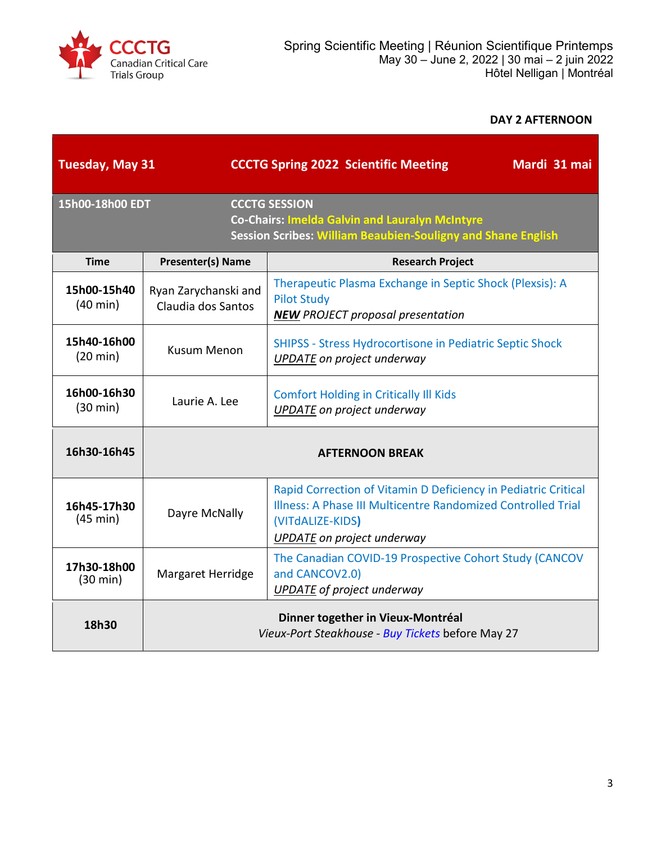

### **DAY 2 AFTERNOON**

| <b>Tuesday, May 31</b>            |                                            | <b>CCCTG Spring 2022 Scientific Meeting</b><br>Mardi 31 mai                                                                                                                             |
|-----------------------------------|--------------------------------------------|-----------------------------------------------------------------------------------------------------------------------------------------------------------------------------------------|
| 15h00-18h00 EDT                   |                                            | <b>CCCTG SESSION</b><br>Co-Chairs: Imelda Galvin and Lauralyn McIntyre<br><b>Session Scribes: William Beaubien-Souligny and Shane English</b>                                           |
| <b>Time</b>                       | <b>Presenter(s) Name</b>                   | <b>Research Project</b>                                                                                                                                                                 |
| 15h00-15h40<br>$(40 \text{ min})$ | Ryan Zarychanski and<br>Claudia dos Santos | Therapeutic Plasma Exchange in Septic Shock (Plexsis): A<br><b>Pilot Study</b><br><b>NEW PROJECT proposal presentation</b>                                                              |
| 15h40-16h00<br>$(20 \text{ min})$ | <b>Kusum Menon</b>                         | <b>SHIPSS - Stress Hydrocortisone in Pediatric Septic Shock</b><br>UPDATE on project underway                                                                                           |
| 16h00-16h30<br>$(30 \text{ min})$ | Laurie A. Lee                              | <b>Comfort Holding in Critically III Kids</b><br><b>UPDATE</b> on project underway                                                                                                      |
| 16h30-16h45                       | <b>AFTERNOON BREAK</b>                     |                                                                                                                                                                                         |
| 16h45-17h30<br>(45 min)           | Dayre McNally                              | Rapid Correction of Vitamin D Deficiency in Pediatric Critical<br>Illness: A Phase III Multicentre Randomized Controlled Trial<br>(VITdALIZE-KIDS)<br><b>UPDATE</b> on project underway |
| 17h30-18h00<br>$(30 \text{ min})$ | Margaret Herridge                          | The Canadian COVID-19 Prospective Cohort Study (CANCOV<br>and CANCOV2.0)<br><b>UPDATE</b> of project underway                                                                           |
| 18h30                             |                                            | Dinner together in Vieux-Montréal<br>Vieux-Port Steakhouse - Buy Tickets before May 27                                                                                                  |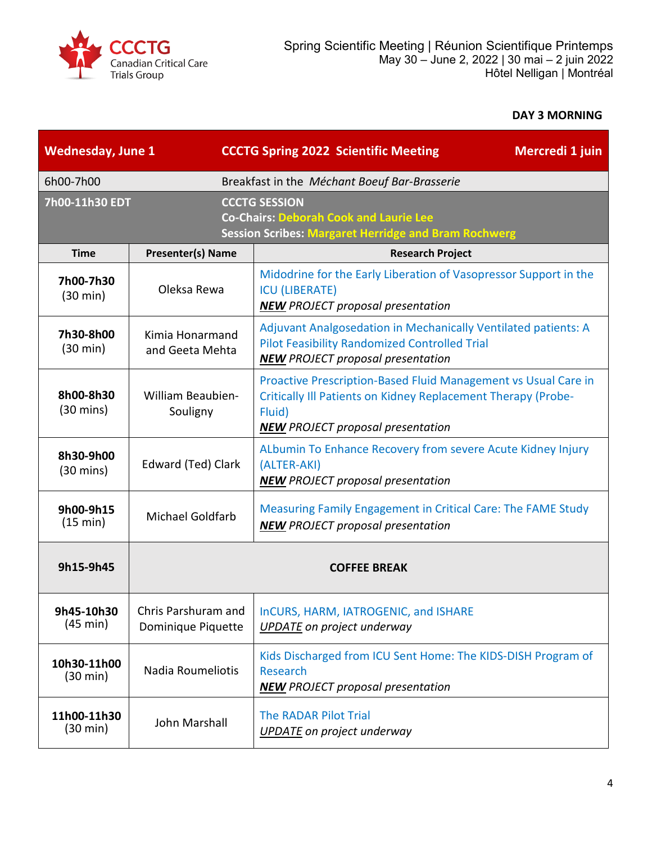

## **DAY 3 MORNING**

| <b>Wednesday, June 1</b>          |                                           | <b>CCCTG Spring 2022 Scientific Meeting</b><br>Mercredi 1 juin                                                                                                                        |
|-----------------------------------|-------------------------------------------|---------------------------------------------------------------------------------------------------------------------------------------------------------------------------------------|
| 6h00-7h00                         |                                           | Breakfast in the Méchant Boeuf Bar-Brasserie                                                                                                                                          |
| 7h00-11h30 EDT                    |                                           | <b>CCCTG SESSION</b><br><b>Co-Chairs: Deborah Cook and Laurie Lee</b><br><b>Session Scribes: Margaret Herridge and Bram Rochwerg</b>                                                  |
| <b>Time</b>                       | <b>Presenter(s) Name</b>                  | <b>Research Project</b>                                                                                                                                                               |
| 7h00-7h30<br>(30 min)             | Oleksa Rewa                               | Midodrine for the Early Liberation of Vasopressor Support in the<br><b>ICU (LIBERATE)</b><br><b>NEW</b> PROJECT proposal presentation                                                 |
| 7h30-8h00<br>$(30 \text{ min})$   | Kimia Honarmand<br>and Geeta Mehta        | Adjuvant Analgosedation in Mechanically Ventilated patients: A<br><b>Pilot Feasibility Randomized Controlled Trial</b><br><b>NEW PROJECT proposal presentation</b>                    |
| 8h00-8h30<br>$(30 \text{ mins})$  | <b>William Beaubien-</b><br>Souligny      | Proactive Prescription-Based Fluid Management vs Usual Care in<br>Critically III Patients on Kidney Replacement Therapy (Probe-<br>Fluid)<br><b>NEW PROJECT proposal presentation</b> |
| 8h30-9h00<br>$(30 \text{ mins})$  | Edward (Ted) Clark                        | ALbumin To Enhance Recovery from severe Acute Kidney Injury<br>(ALTER-AKI)<br><b>NEW PROJECT proposal presentation</b>                                                                |
| 9h00-9h15<br>(15 min)             | <b>Michael Goldfarb</b>                   | Measuring Family Engagement in Critical Care: The FAME Study<br><b>NEW</b> PROJECT proposal presentation                                                                              |
| 9h15-9h45                         | <b>COFFEE BREAK</b>                       |                                                                                                                                                                                       |
| 9h45-10h30<br>(45 min)            | Chris Parshuram and<br>Dominique Piquette | InCURS, HARM, IATROGENIC, and ISHARE<br><b>UPDATE</b> on project underway                                                                                                             |
| 10h30-11h00<br>$(30 \text{ min})$ | Nadia Roumeliotis                         | Kids Discharged from ICU Sent Home: The KIDS-DISH Program of<br>Research<br><b>NEW PROJECT proposal presentation</b>                                                                  |
| 11h00-11h30<br>$(30 \text{ min})$ | John Marshall                             | <b>The RADAR Pilot Trial</b><br><b>UPDATE</b> on project underway                                                                                                                     |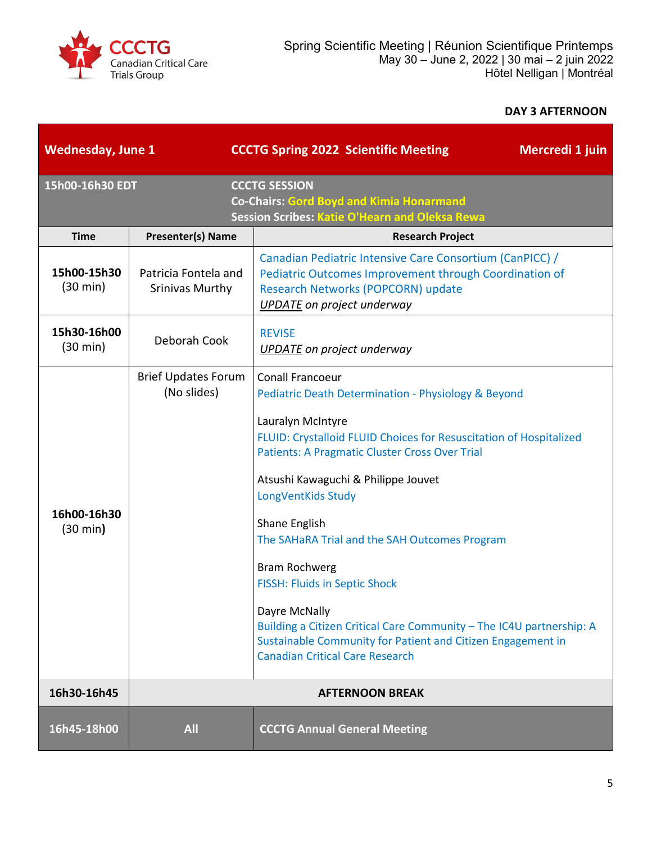

### **DAY 3 AFTERNOON**

| <b>Wednesday, June 1</b>          |                                                | <b>CCCTG Spring 2022 Scientific Meeting</b><br>Mercredi 1 juin                                                                                                                                                                                                                                                                                                                                                                                                                                                                                                                                                                      |
|-----------------------------------|------------------------------------------------|-------------------------------------------------------------------------------------------------------------------------------------------------------------------------------------------------------------------------------------------------------------------------------------------------------------------------------------------------------------------------------------------------------------------------------------------------------------------------------------------------------------------------------------------------------------------------------------------------------------------------------------|
| 15h00-16h30 EDT                   |                                                | <b>CCCTG SESSION</b><br>Co-Chairs: Gord Boyd and Kimia Honarmand<br>Session Scribes: Katie O'Hearn and Oleksa Rewa                                                                                                                                                                                                                                                                                                                                                                                                                                                                                                                  |
| <b>Time</b>                       | <b>Presenter(s) Name</b>                       | <b>Research Project</b>                                                                                                                                                                                                                                                                                                                                                                                                                                                                                                                                                                                                             |
| 15h00-15h30<br>$(30 \text{ min})$ | Patricia Fontela and<br><b>Srinivas Murthy</b> | Canadian Pediatric Intensive Care Consortium (CanPICC) /<br>Pediatric Outcomes Improvement through Coordination of<br>Research Networks (POPCORN) update<br><b>UPDATE</b> on project underway                                                                                                                                                                                                                                                                                                                                                                                                                                       |
| 15h30-16h00<br>(30 min)           | Deborah Cook                                   | <b>REVISE</b><br><b>UPDATE</b> on project underway                                                                                                                                                                                                                                                                                                                                                                                                                                                                                                                                                                                  |
| 16h00-16h30<br>(30 min)           | <b>Brief Updates Forum</b><br>(No slides)      | <b>Conall Francoeur</b><br>Pediatric Death Determination - Physiology & Beyond<br>Lauralyn McIntyre<br>FLUID: Crystalloid FLUID Choices for Resuscitation of Hospitalized<br><b>Patients: A Pragmatic Cluster Cross Over Trial</b><br>Atsushi Kawaguchi & Philippe Jouvet<br>LongVentKids Study<br>Shane English<br>The SAHaRA Trial and the SAH Outcomes Program<br><b>Bram Rochwerg</b><br><b>FISSH: Fluids in Septic Shock</b><br>Dayre McNally<br>Building a Citizen Critical Care Community - The IC4U partnership: A<br>Sustainable Community for Patient and Citizen Engagement in<br><b>Canadian Critical Care Research</b> |
| 16h30-16h45                       |                                                | <b>AFTERNOON BREAK</b>                                                                                                                                                                                                                                                                                                                                                                                                                                                                                                                                                                                                              |
| 16h45-18h00                       | <b>All</b>                                     | <b>CCCTG Annual General Meeting</b>                                                                                                                                                                                                                                                                                                                                                                                                                                                                                                                                                                                                 |